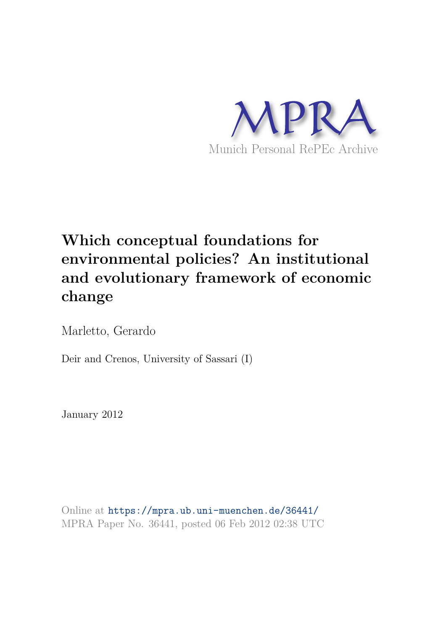

# **Which conceptual foundations for environmental policies? An institutional and evolutionary framework of economic change**

Marletto, Gerardo

Deir and Crenos, University of Sassari (I)

January 2012

Online at https://mpra.ub.uni-muenchen.de/36441/ MPRA Paper No. 36441, posted 06 Feb 2012 02:38 UTC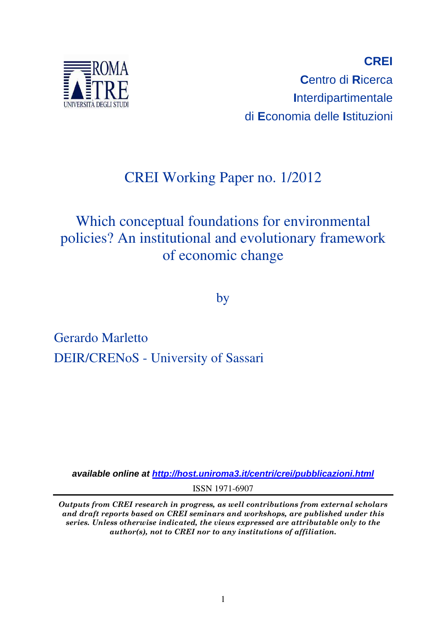

**CREI C**entro di **R**icerca **I**nterdipartimentale di **E**conomia delle **I**stituzioni

# CREI Working Paper no. 1/2012

# Which conceptual foundations for environmental policies? An institutional and evolutionary framework of economic change

by

Gerardo Marletto DEIR/CRENoS - University of Sassari

**available online at http://host.uniroma3.it/centri/crei/pubblicazioni.html** ISSN 1971-6907

*Outputs from CREI research in progress, as well contributions from external scholars and draft reports based on CREI seminars and workshops, are published under this series. Unless otherwise indicated, the views expressed are attributable only to the author(s), not to CREI nor to any institutions of affiliation.*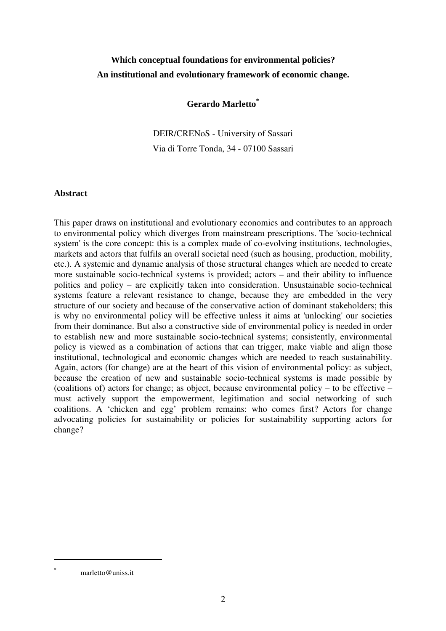# **Which conceptual foundations for environmental policies? An institutional and evolutionary framework of economic change.**

# **Gerardo Marletto\***

DEIR/CRENoS - University of Sassari Via di Torre Tonda, 34 - 07100 Sassari

#### **Abstract**

This paper draws on institutional and evolutionary economics and contributes to an approach to environmental policy which diverges from mainstream prescriptions. The 'socio-technical system' is the core concept: this is a complex made of co-evolving institutions, technologies, markets and actors that fulfils an overall societal need (such as housing, production, mobility, etc.). A systemic and dynamic analysis of those structural changes which are needed to create more sustainable socio-technical systems is provided; actors – and their ability to influence politics and policy – are explicitly taken into consideration. Unsustainable socio-technical systems feature a relevant resistance to change, because they are embedded in the very structure of our society and because of the conservative action of dominant stakeholders; this is why no environmental policy will be effective unless it aims at 'unlocking' our societies from their dominance. But also a constructive side of environmental policy is needed in order to establish new and more sustainable socio-technical systems; consistently, environmental policy is viewed as a combination of actions that can trigger, make viable and align those institutional, technological and economic changes which are needed to reach sustainability. Again, actors (for change) are at the heart of this vision of environmental policy: as subject, because the creation of new and sustainable socio-technical systems is made possible by (coalitions of) actors for change; as object, because environmental policy – to be effective – must actively support the empowerment, legitimation and social networking of such coalitions. A 'chicken and egg' problem remains: who comes first? Actors for change advocating policies for sustainability or policies for sustainability supporting actors for change?

<sup>\*</sup> marletto@uniss.it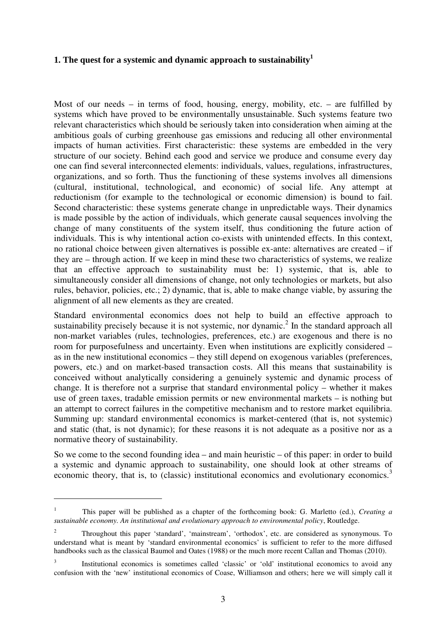### **1. The quest for a systemic and dynamic approach to sustainability<sup>1</sup>**

Most of our needs – in terms of food, housing, energy, mobility, etc. – are fulfilled by systems which have proved to be environmentally unsustainable. Such systems feature two relevant characteristics which should be seriously taken into consideration when aiming at the ambitious goals of curbing greenhouse gas emissions and reducing all other environmental impacts of human activities. First characteristic: these systems are embedded in the very structure of our society. Behind each good and service we produce and consume every day one can find several interconnected elements: individuals, values, regulations, infrastructures, organizations, and so forth. Thus the functioning of these systems involves all dimensions (cultural, institutional, technological, and economic) of social life. Any attempt at reductionism (for example to the technological or economic dimension) is bound to fail. Second characteristic: these systems generate change in unpredictable ways. Their dynamics is made possible by the action of individuals, which generate causal sequences involving the change of many constituents of the system itself, thus conditioning the future action of individuals. This is why intentional action co-exists with unintended effects. In this context, no rational choice between given alternatives is possible ex-ante: alternatives are created – if they are – through action. If we keep in mind these two characteristics of systems, we realize that an effective approach to sustainability must be: 1) systemic, that is, able to simultaneously consider all dimensions of change, not only technologies or markets, but also rules, behavior, policies, etc.; 2) dynamic, that is, able to make change viable, by assuring the alignment of all new elements as they are created.

Standard environmental economics does not help to build an effective approach to sustainability precisely because it is not systemic, nor dynamic.<sup>2</sup> In the standard approach all non-market variables (rules, technologies, preferences, etc.) are exogenous and there is no room for purposefulness and uncertainty. Even when institutions are explicitly considered – as in the new institutional economics – they still depend on exogenous variables (preferences, powers, etc.) and on market-based transaction costs. All this means that sustainability is conceived without analytically considering a genuinely systemic and dynamic process of change. It is therefore not a surprise that standard environmental policy – whether it makes use of green taxes, tradable emission permits or new environmental markets – is nothing but an attempt to correct failures in the competitive mechanism and to restore market equilibria. Summing up: standard environmental economics is market-centered (that is, not systemic) and static (that, is not dynamic); for these reasons it is not adequate as a positive nor as a normative theory of sustainability.

So we come to the second founding idea – and main heuristic – of this paper: in order to build a systemic and dynamic approach to sustainability, one should look at other streams of economic theory, that is, to (classic) institutional economics and evolutionary economics.<sup>3</sup>

<sup>1</sup> This paper will be published as a chapter of the forthcoming book: G. Marletto (ed.), *Creating a sustainable economy. An institutional and evolutionary approach to environmental policy*, Routledge.

<sup>&</sup>lt;sup>2</sup> Throughout this paper 'standard', 'mainstream', 'orthodox', etc. are considered as synonymous. To understand what is meant by 'standard environmental economics' is sufficient to refer to the more diffused handbooks such as the classical Baumol and Oates (1988) or the much more recent Callan and Thomas (2010).

<sup>&</sup>lt;sup>3</sup> Institutional economics is sometimes called 'classic' or 'old' institutional economics to avoid any confusion with the 'new' institutional economics of Coase, Williamson and others; here we will simply call it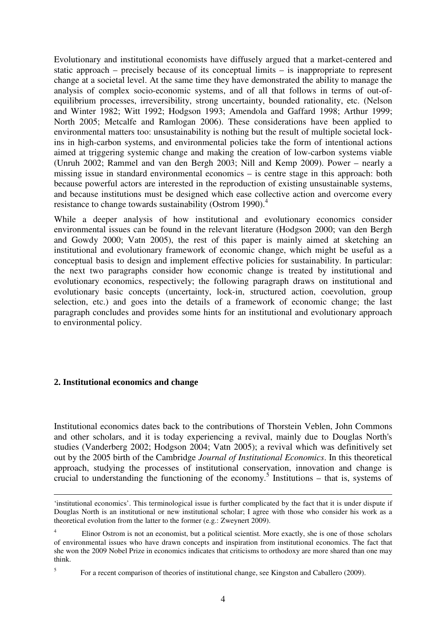Evolutionary and institutional economists have diffusely argued that a market-centered and static approach – precisely because of its conceptual limits – is inappropriate to represent change at a societal level. At the same time they have demonstrated the ability to manage the analysis of complex socio-economic systems, and of all that follows in terms of out-ofequilibrium processes, irreversibility, strong uncertainty, bounded rationality, etc. (Nelson and Winter 1982; Witt 1992; Hodgson 1993; Amendola and Gaffard 1998; Arthur 1999; North 2005; Metcalfe and Ramlogan 2006). These considerations have been applied to environmental matters too: unsustainability is nothing but the result of multiple societal lockins in high-carbon systems, and environmental policies take the form of intentional actions aimed at triggering systemic change and making the creation of low-carbon systems viable (Unruh 2002; Rammel and van den Bergh 2003; Nill and Kemp 2009). Power – nearly a missing issue in standard environmental economics – is centre stage in this approach: both because powerful actors are interested in the reproduction of existing unsustainable systems, and because institutions must be designed which ease collective action and overcome every resistance to change towards sustainability (Ostrom 1990).<sup>4</sup>

While a deeper analysis of how institutional and evolutionary economics consider environmental issues can be found in the relevant literature (Hodgson 2000; van den Bergh and Gowdy 2000; Vatn 2005), the rest of this paper is mainly aimed at sketching an institutional and evolutionary framework of economic change, which might be useful as a conceptual basis to design and implement effective policies for sustainability. In particular: the next two paragraphs consider how economic change is treated by institutional and evolutionary economics, respectively; the following paragraph draws on institutional and evolutionary basic concepts (uncertainty, lock-in, structured action, coevolution, group selection, etc.) and goes into the details of a framework of economic change; the last paragraph concludes and provides some hints for an institutional and evolutionary approach to environmental policy.

# **2. Institutional economics and change**

5

Institutional economics dates back to the contributions of Thorstein Veblen, John Commons and other scholars, and it is today experiencing a revival, mainly due to Douglas North's studies (Vanderberg 2002; Hodgson 2004; Vatn 2005); a revival which was definitively set out by the 2005 birth of the Cambridge *Journal of Institutional Economics*. In this theoretical approach, studying the processes of institutional conservation, innovation and change is crucial to understanding the functioning of the economy.<sup>5</sup> Institutions – that is, systems of

 $\overline{a}$ 'institutional economics'. This terminological issue is further complicated by the fact that it is under dispute if Douglas North is an institutional or new institutional scholar; I agree with those who consider his work as a theoretical evolution from the latter to the former (e.g.: Zweynert 2009).

<sup>&</sup>lt;sup>4</sup> Elinor Ostrom is not an economist, but a political scientist. More exactly, she is one of those scholars of environmental issues who have drawn concepts and inspiration from institutional economics. The fact that she won the 2009 Nobel Prize in economics indicates that criticisms to orthodoxy are more shared than one may think.

For a recent comparison of theories of institutional change, see Kingston and Caballero (2009).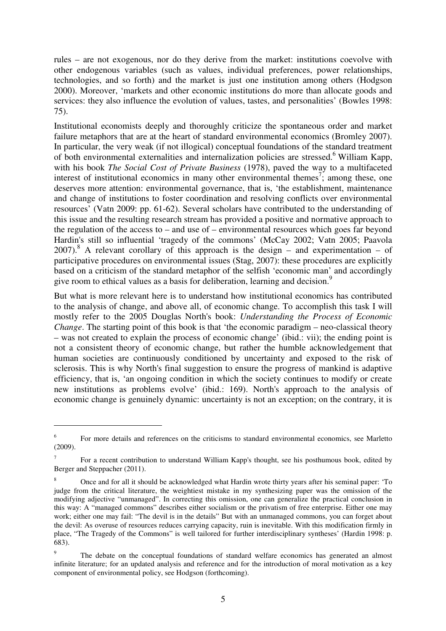rules – are not exogenous, nor do they derive from the market: institutions coevolve with other endogenous variables (such as values, individual preferences, power relationships, technologies, and so forth) and the market is just one institution among others (Hodgson 2000). Moreover, 'markets and other economic institutions do more than allocate goods and services: they also influence the evolution of values, tastes, and personalities' (Bowles 1998: 75).

Institutional economists deeply and thoroughly criticize the spontaneous order and market failure metaphors that are at the heart of standard environmental economics (Bromley 2007). In particular, the very weak (if not illogical) conceptual foundations of the standard treatment of both environmental externalities and internalization policies are stressed.<sup>6</sup> William Kapp, with his book *The Social Cost of Private Business* (1978), paved the way to a multifaceted interest of institutional economics in many other environmental themes<sup>7</sup>; among these, one deserves more attention: environmental governance, that is, 'the establishment, maintenance and change of institutions to foster coordination and resolving conflicts over environmental resources' (Vatn 2009: pp. 61-62). Several scholars have contributed to the understanding of this issue and the resulting research stream has provided a positive and normative approach to the regulation of the access to – and use of – environmental resources which goes far beyond Hardin's still so influential 'tragedy of the commons' (McCay 2002; Vatn 2005; Paavola 2007).<sup>8</sup> A relevant corollary of this approach is the design – and experimentation – of participative procedures on environmental issues (Stag, 2007): these procedures are explicitly based on a criticism of the standard metaphor of the selfish 'economic man' and accordingly give room to ethical values as a basis for deliberation, learning and decision.<sup>9</sup>

But what is more relevant here is to understand how institutional economics has contributed to the analysis of change, and above all, of economic change. To accomplish this task I will mostly refer to the 2005 Douglas North's book: *Understanding the Process of Economic Change*. The starting point of this book is that 'the economic paradigm – neo-classical theory – was not created to explain the process of economic change' (ibid.: vii); the ending point is not a consistent theory of economic change, but rather the humble acknowledgement that human societies are continuously conditioned by uncertainty and exposed to the risk of sclerosis. This is why North's final suggestion to ensure the progress of mankind is adaptive efficiency, that is, 'an ongoing condition in which the society continues to modify or create new institutions as problems evolve' (ibid.: 169). North's approach to the analysis of economic change is genuinely dynamic: uncertainty is not an exception; on the contrary, it is

<sup>6</sup> For more details and references on the criticisms to standard environmental economics, see Marletto (2009).

<sup>7</sup> For a recent contribution to understand William Kapp's thought, see his posthumous book, edited by Berger and Steppacher (2011).

<sup>8</sup> Once and for all it should be acknowledged what Hardin wrote thirty years after his seminal paper: 'To judge from the critical literature, the weightiest mistake in my synthesizing paper was the omission of the modifying adjective "unmanaged". In correcting this omission, one can generalize the practical conclusion in this way: A "managed commons" describes either socialism or the privatism of free enterprise. Either one may work; either one may fail: "The devil is in the details" But with an unmanaged commons, you can forget about the devil: As overuse of resources reduces carrying capacity, ruin is inevitable. With this modification firmly in place, "The Tragedy of the Commons" is well tailored for further interdisciplinary syntheses' (Hardin 1998: p. 683).

<sup>9</sup> The debate on the conceptual foundations of standard welfare economics has generated an almost infinite literature; for an updated analysis and reference and for the introduction of moral motivation as a key component of environmental policy, see Hodgson (forthcoming).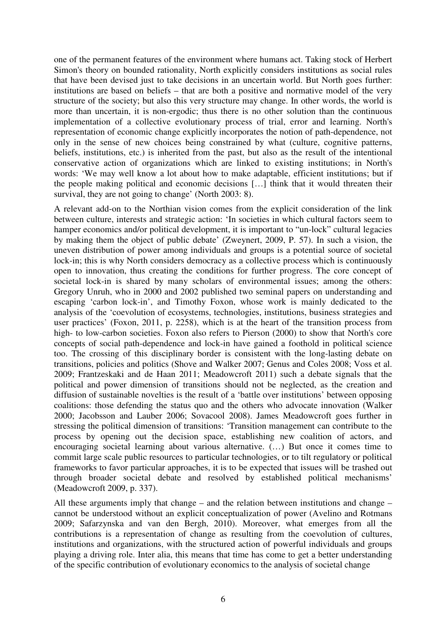one of the permanent features of the environment where humans act. Taking stock of Herbert Simon's theory on bounded rationality, North explicitly considers institutions as social rules that have been devised just to take decisions in an uncertain world. But North goes further: institutions are based on beliefs – that are both a positive and normative model of the very structure of the society; but also this very structure may change. In other words, the world is more than uncertain, it is non-ergodic; thus there is no other solution than the continuous implementation of a collective evolutionary process of trial, error and learning. North's representation of economic change explicitly incorporates the notion of path-dependence, not only in the sense of new choices being constrained by what (culture, cognitive patterns, beliefs, institutions, etc.) is inherited from the past, but also as the result of the intentional conservative action of organizations which are linked to existing institutions; in North's words: 'We may well know a lot about how to make adaptable, efficient institutions; but if the people making political and economic decisions […] think that it would threaten their survival, they are not going to change' (North 2003: 8).

A relevant add-on to the Northian vision comes from the explicit consideration of the link between culture, interests and strategic action: 'In societies in which cultural factors seem to hamper economics and/or political development, it is important to "un-lock" cultural legacies by making them the object of public debate' (Zweynert, 2009, P. 57). In such a vision, the uneven distribution of power among individuals and groups is a potential source of societal lock-in; this is why North considers democracy as a collective process which is continuously open to innovation, thus creating the conditions for further progress. The core concept of societal lock-in is shared by many scholars of environmental issues; among the others: Gregory Unruh, who in 2000 and 2002 published two seminal papers on understanding and escaping 'carbon lock-in', and Timothy Foxon, whose work is mainly dedicated to the analysis of the 'coevolution of ecosystems, technologies, institutions, business strategies and user practices' (Foxon, 2011, p. 2258), which is at the heart of the transition process from high- to low-carbon societies. Foxon also refers to Pierson (2000) to show that North's core concepts of social path-dependence and lock-in have gained a foothold in political science too. The crossing of this disciplinary border is consistent with the long-lasting debate on transitions, policies and politics (Shove and Walker 2007; Genus and Coles 2008; Voss et al. 2009; Frantzeskaki and de Haan 2011; Meadowcroft 2011) such a debate signals that the political and power dimension of transitions should not be neglected, as the creation and diffusion of sustainable novelties is the result of a 'battle over institutions' between opposing coalitions: those defending the status quo and the others who advocate innovation (Walker 2000; Jacobsson and Lauber 2006; Sovacool 2008). James Meadowcroft goes further in stressing the political dimension of transitions: 'Transition management can contribute to the process by opening out the decision space, establishing new coalition of actors, and encouraging societal learning about various alternative. (…) But once it comes time to commit large scale public resources to particular technologies, or to tilt regulatory or political frameworks to favor particular approaches, it is to be expected that issues will be trashed out through broader societal debate and resolved by established political mechanisms' (Meadowcroft 2009, p. 337).

All these arguments imply that change – and the relation between institutions and change – cannot be understood without an explicit conceptualization of power (Avelino and Rotmans 2009; Safarzynska and van den Bergh, 2010). Moreover, what emerges from all the contributions is a representation of change as resulting from the coevolution of cultures, institutions and organizations, with the structured action of powerful individuals and groups playing a driving role. Inter alia, this means that time has come to get a better understanding of the specific contribution of evolutionary economics to the analysis of societal change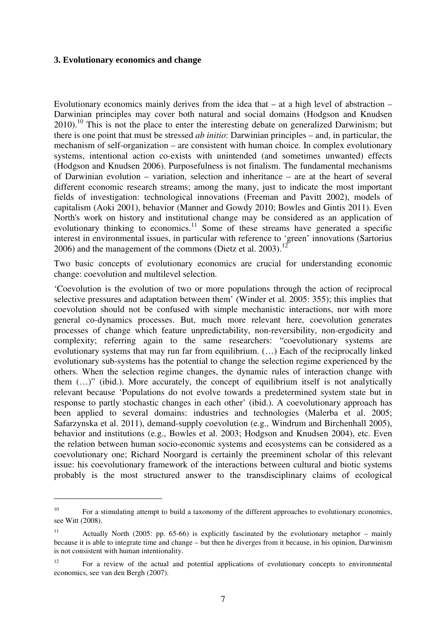#### **3. Evolutionary economics and change**

 $\overline{a}$ 

Evolutionary economics mainly derives from the idea that – at a high level of abstraction – Darwinian principles may cover both natural and social domains (Hodgson and Knudsen  $2010$ .<sup>10</sup> This is not the place to enter the interesting debate on generalized Darwinism; but there is one point that must be stressed *ab initio*: Darwinian principles – and, in particular, the mechanism of self-organization – are consistent with human choice. In complex evolutionary systems, intentional action co-exists with unintended (and sometimes unwanted) effects (Hodgson and Knudsen 2006). Purposefulness is not finalism. The fundamental mechanisms of Darwinian evolution – variation, selection and inheritance – are at the heart of several different economic research streams; among the many, just to indicate the most important fields of investigation: technological innovations (Freeman and Pavitt 2002), models of capitalism (Aoki 2001), behavior (Manner and Gowdy 2010; Bowles and Gintis 2011). Even North's work on history and institutional change may be considered as an application of evolutionary thinking to economics.<sup>11</sup> Some of these streams have generated a specific interest in environmental issues, in particular with reference to 'green' innovations (Sartorius 2006) and the management of the commons (Dietz et al. 2003).<sup>12</sup>

Two basic concepts of evolutionary economics are crucial for understanding economic change: coevolution and multilevel selection.

'Coevolution is the evolution of two or more populations through the action of reciprocal selective pressures and adaptation between them' (Winder et al. 2005: 355); this implies that coevolution should not be confused with simple mechanistic interactions, nor with more general co-dynamics processes. But, much more relevant here, coevolution generates processes of change which feature unpredictability, non-reversibility, non-ergodicity and complexity; referring again to the same researchers: "coevolutionary systems are evolutionary systems that may run far from equilibrium. (…) Each of the reciprocally linked evolutionary sub-systems has the potential to change the selection regime experienced by the others. When the selection regime changes, the dynamic rules of interaction change with them (…)" (ibid.). More accurately, the concept of equilibrium itself is not analytically relevant because 'Populations do not evolve towards a predetermined system state but in response to partly stochastic changes in each other' (ibid.). A coevolutionary approach has been applied to several domains: industries and technologies (Malerba et al. 2005; Safarzynska et al. 2011), demand-supply coevolution (e.g., Windrum and Birchenhall 2005), behavior and institutions (e.g., Bowles et al. 2003; Hodgson and Knudsen 2004), etc. Even the relation between human socio-economic systems and ecosystems can be considered as a coevolutionary one; Richard Noorgard is certainly the preeminent scholar of this relevant issue: his coevolutionary framework of the interactions between cultural and biotic systems probably is the most structured answer to the transdisciplinary claims of ecological

<sup>&</sup>lt;sup>10</sup> For a stimulating attempt to build a taxonomy of the different approaches to evolutionary economics, see Witt (2008).

<sup>&</sup>lt;sup>11</sup> Actually North (2005: pp. 65-66) is explicitly fascinated by the evolutionary metaphor – mainly because it is able to integrate time and change – but then he diverges from it because, in his opinion, Darwinism is not consistent with human intentionality.

<sup>&</sup>lt;sup>12</sup> For a review of the actual and potential applications of evolutionary concepts to environmental economics, see van den Bergh (2007).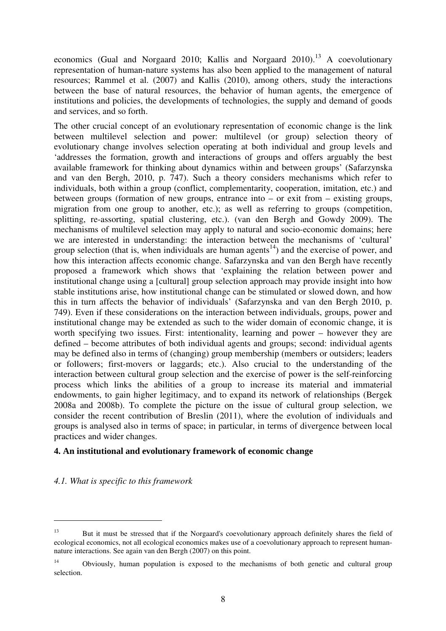economics (Gual and Norgaard 2010; Kallis and Norgaard 2010).<sup>13</sup> A coevolutionary representation of human-nature systems has also been applied to the management of natural resources; Rammel et al. (2007) and Kallis (2010), among others, study the interactions between the base of natural resources, the behavior of human agents, the emergence of institutions and policies, the developments of technologies, the supply and demand of goods and services, and so forth.

The other crucial concept of an evolutionary representation of economic change is the link between multilevel selection and power: multilevel (or group) selection theory of evolutionary change involves selection operating at both individual and group levels and 'addresses the formation, growth and interactions of groups and offers arguably the best available framework for thinking about dynamics within and between groups' (Safarzynska and van den Bergh, 2010, p. 747). Such a theory considers mechanisms which refer to individuals, both within a group (conflict, complementarity, cooperation, imitation, etc.) and between groups (formation of new groups, entrance into – or exit from – existing groups, migration from one group to another, etc.); as well as referring to groups (competition, splitting, re-assorting, spatial clustering, etc.). (van den Bergh and Gowdy 2009). The mechanisms of multilevel selection may apply to natural and socio-economic domains; here we are interested in understanding: the interaction between the mechanisms of 'cultural' group selection (that is, when individuals are human agents<sup>14</sup>) and the exercise of power, and how this interaction affects economic change. Safarzynska and van den Bergh have recently proposed a framework which shows that 'explaining the relation between power and institutional change using a [cultural] group selection approach may provide insight into how stable institutions arise, how institutional change can be stimulated or slowed down, and how this in turn affects the behavior of individuals' (Safarzynska and van den Bergh 2010, p. 749). Even if these considerations on the interaction between individuals, groups, power and institutional change may be extended as such to the wider domain of economic change, it is worth specifying two issues. First: intentionality, learning and power – however they are defined – become attributes of both individual agents and groups; second: individual agents may be defined also in terms of (changing) group membership (members or outsiders; leaders or followers; first-movers or laggards; etc.). Also crucial to the understanding of the interaction between cultural group selection and the exercise of power is the self-reinforcing process which links the abilities of a group to increase its material and immaterial endowments, to gain higher legitimacy, and to expand its network of relationships (Bergek 2008a and 2008b). To complete the picture on the issue of cultural group selection, we consider the recent contribution of Breslin (2011), where the evolution of individuals and groups is analysed also in terms of space; in particular, in terms of divergence between local practices and wider changes.

#### **4. An institutional and evolutionary framework of economic change**

# *4.1. What is specific to this framework*

<sup>&</sup>lt;sup>13</sup> But it must be stressed that if the Norgaard's coevolutionary approach definitely shares the field of ecological economics, not all ecological economics makes use of a coevolutionary approach to represent humannature interactions. See again van den Bergh (2007) on this point.

<sup>&</sup>lt;sup>14</sup> Obviously, human population is exposed to the mechanisms of both genetic and cultural group selection.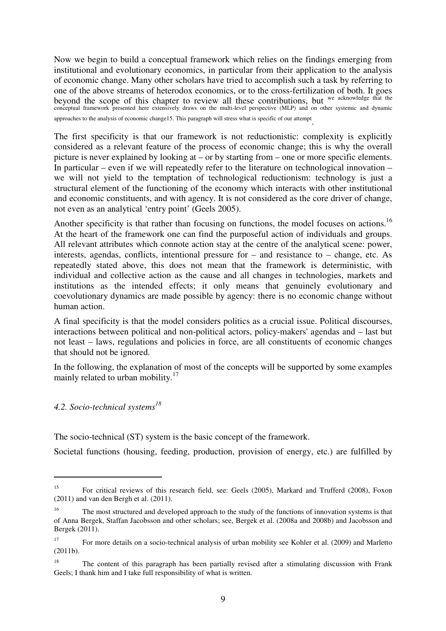Now we begin to build a conceptual framework which relies on the findings emerging from institutional and evolutionary economics, in particular from their application to the analysis of economic change. Many other scholars have tried to accomplish such a task by referring to one of the above streams of heterodox economics, or to the cross-fertilization of both. It goes beyond the scope of this chapter to review all these contributions, but we acknowledge that the conceptual framework presented here extensively draws on the multi-level perspective (MLP) and on other systemic and dynamic approaches to the analysis of economic change15. This paragraph will stress what is specific of our attempt .

The first specificity is that our framework is not reductionistic: complexity is explicitly considered as a relevant feature of the process of economic change; this is why the overall picture is never explained by looking at – or by starting from – one or more specific elements. In particular – even if we will repeatedly refer to the literature on technological innovation – we will not yield to the temptation of technological reductionism: technology is just a structural element of the functioning of the economy which interacts with other institutional and economic constituents, and with agency. It is not considered as the core driver of change, not even as an analytical 'entry point' (Geels 2005).

Another specificity is that rather than focusing on functions, the model focuses on actions.<sup>16</sup> At the heart of the framework one can find the purposeful action of individuals and groups. All relevant attributes which connote action stay at the centre of the analytical scene: power, interests, agendas, conflicts, intentional pressure for – and resistance to – change, etc. As repeatedly stated above, this does not mean that the framework is deterministic, with individual and collective action as the cause and all changes in technologies, markets and institutions as the intended effects; it only means that genuinely evolutionary and coevolutionary dynamics are made possible by agency: there is no economic change without human action.

A final specificity is that the model considers politics as a crucial issue. Political discourses, interactions between political and non-political actors, policy-makers' agendas and – last but not least – laws, regulations and policies in force, are all constituents of economic changes that should not be ignored.

In the following, the explanation of most of the concepts will be supported by some examples mainly related to urban mobility.<sup>17</sup>

# *4.2. Socio-technical systems<sup>18</sup>*

 $\overline{a}$ 

The socio-technical (ST) system is the basic concept of the framework.

Societal functions (housing, feeding, production, provision of energy, etc.) are fulfilled by

<sup>&</sup>lt;sup>15</sup> For critical reviews of this research field, see: Geels (2005), Markard and Trufferd (2008), Foxon (2011) and van den Bergh et al. (2011).

<sup>&</sup>lt;sup>16</sup> The most structured and developed approach to the study of the functions of innovation systems is that of Anna Bergek, Staffan Jacobsson and other scholars; see, Bergek et al. (2008a and 2008b) and Jacobsson and Bergek (2011).

<sup>&</sup>lt;sup>17</sup> For more details on a socio-technical analysis of urban mobility see Kohler et al. (2009) and Marletto (2011b).

<sup>&</sup>lt;sup>18</sup> The content of this paragraph has been partially revised after a stimulating discussion with Frank Geels; I thank him and I take full responsibility of what is written.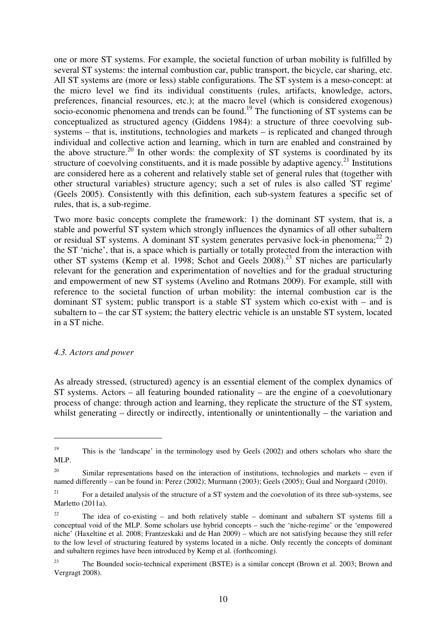one or more ST systems. For example, the societal function of urban mobility is fulfilled by several ST systems: the internal combustion car, public transport, the bicycle, car sharing, etc. All ST systems are (more or less) stable configurations. The ST system is a meso-concept: at the micro level we find its individual constituents (rules, artifacts, knowledge, actors, preferences, financial resources, etc.); at the macro level (which is considered exogenous) socio-economic phenomena and trends can be found.<sup>19</sup> The functioning of ST systems can be conceptualized as structured agency (Giddens 1984): a structure of three coevolving subsystems – that is, institutions, technologies and markets – is replicated and changed through individual and collective action and learning, which in turn are enabled and constrained by the above structure.<sup>20</sup> In other words: the complexity of ST systems is coordinated by its structure of coevolving constituents, and it is made possible by adaptive agency.<sup>21</sup> Institutions are considered here as a coherent and relatively stable set of general rules that (together with other structural variables) structure agency; such a set of rules is also called 'ST regime' (Geels 2005). Consistently with this definition, each sub-system features a specific set of rules, that is, a sub-regime.

Two more basic concepts complete the framework: 1) the dominant ST system, that is, a stable and powerful ST system which strongly influences the dynamics of all other subaltern or residual ST systems. A dominant ST system generates pervasive lock-in phenomena;<sup>22</sup> 2) the ST 'niche', that is, a space which is partially or totally protected from the interaction with other ST systems (Kemp et al. 1998; Schot and Geels  $2008$ ).<sup>23</sup> ST niches are particularly relevant for the generation and experimentation of novelties and for the gradual structuring and empowerment of new ST systems (Avelino and Rotmans 2009). For example, still with reference to the societal function of urban mobility: the internal combustion car is the dominant ST system; public transport is a stable ST system which co-exist with – and is subaltern to – the car ST system; the battery electric vehicle is an unstable ST system, located in a ST niche.

#### *4.3. Actors and power*

 $\overline{a}$ 

As already stressed, (structured) agency is an essential element of the complex dynamics of ST systems. Actors – all featuring bounded rationality – are the engine of a coevolutionary process of change: through action and learning, they replicate the structure of the ST system, whilst generating – directly or indirectly, intentionally or unintentionally – the variation and

<sup>&</sup>lt;sup>19</sup> This is the 'landscape' in the terminology used by Geels (2002) and others scholars who share the MLP.

<sup>&</sup>lt;sup>20</sup> Similar representations based on the interaction of institutions, technologies and markets – even if named differently – can be found in: Perez (2002); Murmann (2003); Geels (2005); Gual and Norgaard (2010).

<sup>&</sup>lt;sup>21</sup> For a detailed analysis of the structure of a ST system and the coevolution of its three sub-systems, see Marletto (2011a).

<sup>&</sup>lt;sup>22</sup> The idea of co-existing – and both relatively stable – dominant and subaltern ST systems fill a conceptual void of the MLP. Some scholars use hybrid concepts – such the 'niche-regime' or the 'empowered niche' (Haxeltine et al. 2008; Frantzeskaki and de Han 2009) – which are not satisfying because they still refer to the low level of structuring featured by systems located in a niche. Only recently the concepts of dominant and subaltern regimes have been introduced by Kemp et al. (forthcoming).

<sup>&</sup>lt;sup>23</sup> The Bounded socio-technical experiment (BSTE) is a similar concept (Brown et al. 2003; Brown and Vergragt 2008).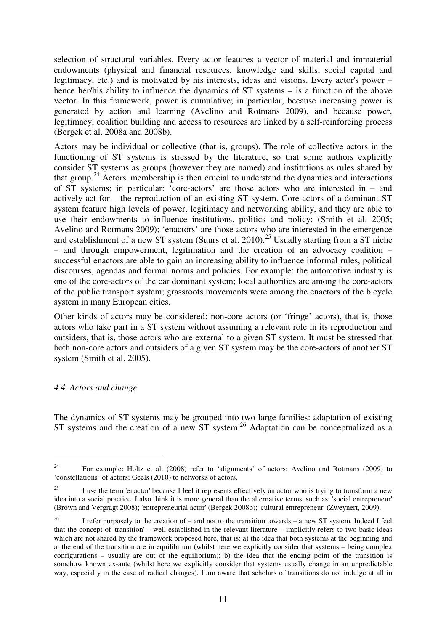selection of structural variables. Every actor features a vector of material and immaterial endowments (physical and financial resources, knowledge and skills, social capital and legitimacy, etc.) and is motivated by his interests, ideas and visions. Every actor's power – hence her/his ability to influence the dynamics of ST systems – is a function of the above vector. In this framework, power is cumulative; in particular, because increasing power is generated by action and learning (Avelino and Rotmans 2009), and because power, legitimacy, coalition building and access to resources are linked by a self-reinforcing process (Bergek et al. 2008a and 2008b).

Actors may be individual or collective (that is, groups). The role of collective actors in the functioning of ST systems is stressed by the literature, so that some authors explicitly consider ST systems as groups (however they are named) and institutions as rules shared by that group.<sup>24</sup> Actors' membership is then crucial to understand the dynamics and interactions of ST systems; in particular: 'core-actors' are those actors who are interested in – and actively act for – the reproduction of an existing ST system. Core-actors of a dominant ST system feature high levels of power, legitimacy and networking ability, and they are able to use their endowments to influence institutions, politics and policy; (Smith et al. 2005; Avelino and Rotmans 2009); 'enactors' are those actors who are interested in the emergence and establishment of a new ST system (Suurs et al. 2010).<sup>25</sup> Usually starting from a ST niche – and through empowerment, legitimation and the creation of an advocacy coalition – successful enactors are able to gain an increasing ability to influence informal rules, political discourses, agendas and formal norms and policies. For example: the automotive industry is one of the core-actors of the car dominant system; local authorities are among the core-actors of the public transport system; grassroots movements were among the enactors of the bicycle system in many European cities.

Other kinds of actors may be considered: non-core actors (or 'fringe' actors), that is, those actors who take part in a ST system without assuming a relevant role in its reproduction and outsiders, that is, those actors who are external to a given ST system. It must be stressed that both non-core actors and outsiders of a given ST system may be the core-actors of another ST system (Smith et al. 2005).

#### *4.4. Actors and change*

 $\overline{a}$ 

The dynamics of ST systems may be grouped into two large families: adaptation of existing ST systems and the creation of a new ST system.<sup>26</sup> Adaptation can be conceptualized as a

<sup>&</sup>lt;sup>24</sup> For example: Holtz et al. (2008) refer to 'alignments' of actors; Avelino and Rotmans (2009) to 'constellations' of actors; Geels (2010) to networks of actors.

<sup>&</sup>lt;sup>25</sup> I use the term 'enactor' because I feel it represents effectively an actor who is trying to transform a new idea into a social practice. I also think it is more general than the alternative terms, such as: 'social entrepreneur' (Brown and Vergragt 2008); 'entrepreneurial actor' (Bergek 2008b); 'cultural entrepreneur' (Zweynert, 2009).

<sup>&</sup>lt;sup>26</sup> I refer purposely to the creation of – and not to the transition towards – a new ST system. Indeed I feel that the concept of 'transition' – well established in the relevant literature – implicitly refers to two basic ideas which are not shared by the framework proposed here, that is: a) the idea that both systems at the beginning and at the end of the transition are in equilibrium (whilst here we explicitly consider that systems – being complex configurations – usually are out of the equilibrium); b) the idea that the ending point of the transition is somehow known ex-ante (whilst here we explicitly consider that systems usually change in an unpredictable way, especially in the case of radical changes). I am aware that scholars of transitions do not indulge at all in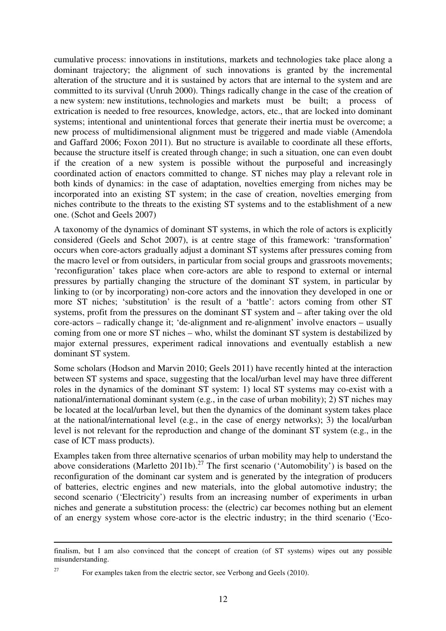cumulative process: innovations in institutions, markets and technologies take place along a dominant trajectory; the alignment of such innovations is granted by the incremental alteration of the structure and it is sustained by actors that are internal to the system and are committed to its survival (Unruh 2000). Things radically change in the case of the creation of a new system: new institutions, technologies and markets must be built; a process of extrication is needed to free resources, knowledge, actors, etc., that are locked into dominant systems; intentional and unintentional forces that generate their inertia must be overcome; a new process of multidimensional alignment must be triggered and made viable (Amendola and Gaffard 2006; Foxon 2011). But no structure is available to coordinate all these efforts, because the structure itself is created through change; in such a situation, one can even doubt if the creation of a new system is possible without the purposeful and increasingly coordinated action of enactors committed to change. ST niches may play a relevant role in both kinds of dynamics: in the case of adaptation, novelties emerging from niches may be incorporated into an existing ST system; in the case of creation, novelties emerging from niches contribute to the threats to the existing ST systems and to the establishment of a new one. (Schot and Geels 2007)

A taxonomy of the dynamics of dominant ST systems, in which the role of actors is explicitly considered (Geels and Schot 2007), is at centre stage of this framework: 'transformation' occurs when core-actors gradually adjust a dominant ST systems after pressures coming from the macro level or from outsiders, in particular from social groups and grassroots movements; 'reconfiguration' takes place when core-actors are able to respond to external or internal pressures by partially changing the structure of the dominant ST system, in particular by linking to (or by incorporating) non-core actors and the innovation they developed in one or more ST niches; 'substitution' is the result of a 'battle': actors coming from other ST systems, profit from the pressures on the dominant ST system and – after taking over the old core-actors – radically change it; 'de-alignment and re-alignment' involve enactors – usually coming from one or more ST niches – who, whilst the dominant ST system is destabilized by major external pressures, experiment radical innovations and eventually establish a new dominant ST system.

Some scholars (Hodson and Marvin 2010; Geels 2011) have recently hinted at the interaction between ST systems and space, suggesting that the local/urban level may have three different roles in the dynamics of the dominant ST system: 1) local ST systems may co-exist with a national/international dominant system (e.g., in the case of urban mobility); 2) ST niches may be located at the local/urban level, but then the dynamics of the dominant system takes place at the national/international level (e.g., in the case of energy networks); 3) the local/urban level is not relevant for the reproduction and change of the dominant ST system (e.g., in the case of ICT mass products).

Examples taken from three alternative scenarios of urban mobility may help to understand the above considerations (Marletto 2011b).<sup>27</sup> The first scenario ('Automobility') is based on the reconfiguration of the dominant car system and is generated by the integration of producers of batteries, electric engines and new materials, into the global automotive industry; the second scenario ('Electricity') results from an increasing number of experiments in urban niches and generate a substitution process: the (electric) car becomes nothing but an element of an energy system whose core-actor is the electric industry; in the third scenario ('Eco-

finalism, but I am also convinced that the concept of creation (of ST systems) wipes out any possible misunderstanding.

<sup>&</sup>lt;sup>27</sup> For examples taken from the electric sector, see Verbong and Geels (2010).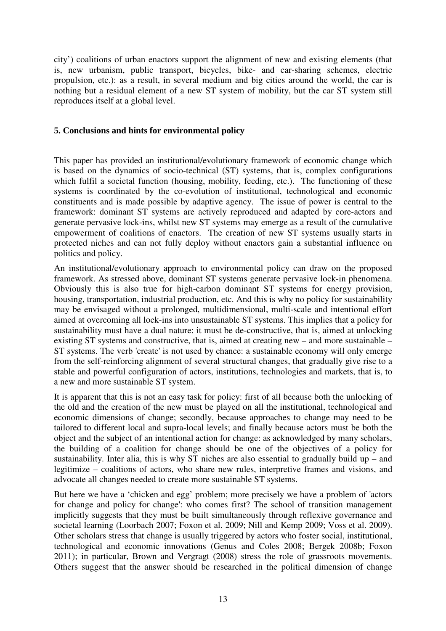city') coalitions of urban enactors support the alignment of new and existing elements (that is, new urbanism, public transport, bicycles, bike- and car-sharing schemes, electric propulsion, etc.): as a result, in several medium and big cities around the world, the car is nothing but a residual element of a new ST system of mobility, but the car ST system still reproduces itself at a global level.

### **5. Conclusions and hints for environmental policy**

This paper has provided an institutional/evolutionary framework of economic change which is based on the dynamics of socio-technical (ST) systems, that is, complex configurations which fulfil a societal function (housing, mobility, feeding, etc.). The functioning of these systems is coordinated by the co-evolution of institutional, technological and economic constituents and is made possible by adaptive agency. The issue of power is central to the framework: dominant ST systems are actively reproduced and adapted by core-actors and generate pervasive lock-ins, whilst new ST systems may emerge as a result of the cumulative empowerment of coalitions of enactors. The creation of new ST systems usually starts in protected niches and can not fully deploy without enactors gain a substantial influence on politics and policy.

An institutional/evolutionary approach to environmental policy can draw on the proposed framework. As stressed above, dominant ST systems generate pervasive lock-in phenomena. Obviously this is also true for high-carbon dominant ST systems for energy provision, housing, transportation, industrial production, etc. And this is why no policy for sustainability may be envisaged without a prolonged, multidimensional, multi-scale and intentional effort aimed at overcoming all lock-ins into unsustainable ST systems. This implies that a policy for sustainability must have a dual nature: it must be de-constructive, that is, aimed at unlocking existing ST systems and constructive, that is, aimed at creating new – and more sustainable – ST systems. The verb 'create' is not used by chance: a sustainable economy will only emerge from the self-reinforcing alignment of several structural changes, that gradually give rise to a stable and powerful configuration of actors, institutions, technologies and markets, that is, to a new and more sustainable ST system.

It is apparent that this is not an easy task for policy: first of all because both the unlocking of the old and the creation of the new must be played on all the institutional, technological and economic dimensions of change; secondly, because approaches to change may need to be tailored to different local and supra-local levels; and finally because actors must be both the object and the subject of an intentional action for change: as acknowledged by many scholars, the building of a coalition for change should be one of the objectives of a policy for sustainability. Inter alia, this is why ST niches are also essential to gradually build  $up -$  and legitimize – coalitions of actors, who share new rules, interpretive frames and visions, and advocate all changes needed to create more sustainable ST systems.

But here we have a 'chicken and egg' problem; more precisely we have a problem of 'actors for change and policy for change': who comes first? The school of transition management implicitly suggests that they must be built simultaneously through reflexive governance and societal learning (Loorbach 2007; Foxon et al. 2009; Nill and Kemp 2009; Voss et al. 2009). Other scholars stress that change is usually triggered by actors who foster social, institutional, technological and economic innovations (Genus and Coles 2008; Bergek 2008b; Foxon 2011); in particular, Brown and Vergragt (2008) stress the role of grassroots movements. Others suggest that the answer should be researched in the political dimension of change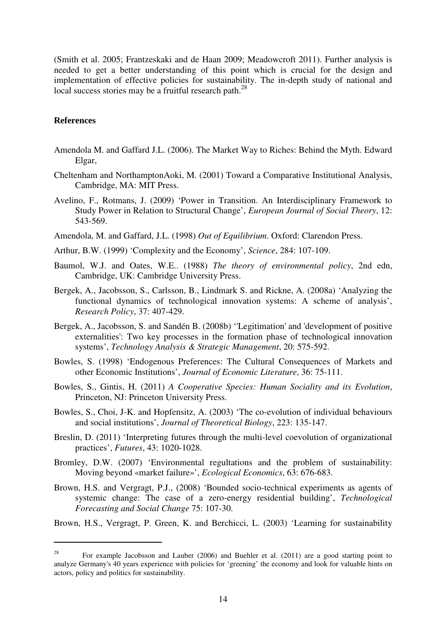(Smith et al. 2005; Frantzeskaki and de Haan 2009; Meadowcroft 2011). Further analysis is needed to get a better understanding of this point which is crucial for the design and implementation of effective policies for sustainability. The in-depth study of national and local success stories may be a fruitful research path. $^{28}$ 

#### **References**

 $\overline{a}$ 

- Amendola M. and Gaffard J.L. (2006). The Market Way to Riches: Behind the Myth. Edward Elgar,
- Cheltenham and NorthamptonAoki, M. (2001) Toward a Comparative Institutional Analysis, Cambridge, MA: MIT Press.
- Avelino, F., Rotmans, J. (2009) 'Power in Transition. An Interdisciplinary Framework to Study Power in Relation to Structural Change', *European Journal of Social Theory*, 12: 543-569.
- Amendola, M. and Gaffard, J.L. (1998) *Out of Equilibrium*. Oxford: Clarendon Press.
- Arthur, B.W. (1999) 'Complexity and the Economy', *Science*, 284: 107-109.
- Baumol, W.J. and Oates, W.E.. (1988) *The theory of environmental policy*, 2nd edn, Cambridge, UK: Cambridge University Press.
- Bergek, A., Jacobsson, S., Carlsson, B., Lindmark S. and Rickne, A. (2008a) 'Analyzing the functional dynamics of technological innovation systems: A scheme of analysis', *Research Policy*, 37: 407-429.
- Bergek, A., Jacobsson, S. and Sandén B. (2008b) ''Legitimation' and 'development of positive externalities': Two key processes in the formation phase of technological innovation systems', *Technology Analysis & Strategic Management*, 20: 575-592.
- Bowles, S. (1998) 'Endogenous Preferences: The Cultural Consequences of Markets and other Economic Institutions', *Journal of Economic Literature*, 36: 75-111.
- Bowles, S., Gintis, H. (2011) *A Cooperative Species: Human Sociality and its Evolution*, Princeton, NJ: Princeton University Press.
- Bowles, S., Choi, J-K. and Hopfensitz, A. (2003) 'The co-evolution of individual behaviours and social institutions', *Journal of Theoretical Biology*, 223: 135-147.
- Breslin, D. (2011) 'Interpreting futures through the multi-level coevolution of organizational practices', *Futures*, 43: 1020-1028.
- Bromley, D.W. (2007) 'Environmental regultations and the problem of sustainability: Moving beyond «market failure»', *Ecological Economics*, 63: 676-683.
- Brown, H.S. and Vergragt, P.J., (2008) 'Bounded socio-technical experiments as agents of systemic change: The case of a zero-energy residential building', *Technological Forecasting and Social Change* 75: 107-30.

Brown, H.S., Vergragt, P. Green, K. and Berchicci, L. (2003) 'Learning for sustainability

<sup>&</sup>lt;sup>28</sup> For example Jacobsson and Lauber (2006) and Buehler et al. (2011) are a good starting point to analyze Germany's 40 years experience with policies for 'greening' the economy and look for valuable hints on actors, policy and politics for sustainability.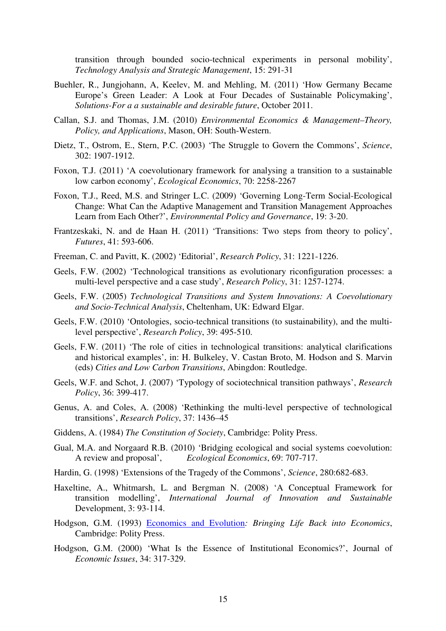transition through bounded socio-technical experiments in personal mobility', *Technology Analysis and Strategic Management*, 15: 291-31

- Buehler, R., Jungjohann, A, Keelev, M. and Mehling, M. (2011) 'How Germany Became Europe's Green Leader: A Look at Four Decades of Sustainable Policymaking', *Solutions-For a a sustainable and desirable future*, October 2011.
- Callan, S.J. and Thomas, J.M. (2010) *Environmental Economics & Management–Theory, Policy, and Applications*, Mason, OH: South-Western.
- Dietz, T., Ostrom, E., Stern, P.C. (2003) 'The Struggle to Govern the Commons', *Science*, 302: 1907-1912.
- Foxon, T.J. (2011) 'A coevolutionary framework for analysing a transition to a sustainable low carbon economy', *Ecological Economics*, 70: 2258-2267
- Foxon, T.J., Reed, M.S. and Stringer L.C. (2009) 'Governing Long-Term Social-Ecological Change: What Can the Adaptive Management and Transition Management Approaches Learn from Each Other?', *Environmental Policy and Governance*, 19: 3-20.
- Frantzeskaki, N. and de Haan H. (2011) 'Transitions: Two steps from theory to policy', *Futures*, 41: 593-606.
- Freeman, C. and Pavitt, K. (2002) 'Editorial', *Research Policy*, 31: 1221-1226.
- Geels, F.W. (2002) 'Technological transitions as evolutionary riconfiguration processes: a multi-level perspective and a case study', *Research Policy*, 31: 1257-1274.
- Geels, F.W. (2005) *Technological Transitions and System Innovations: A Coevolutionary and Socio-Technical Analysis*, Cheltenham, UK: Edward Elgar.
- Geels, F.W. (2010) 'Ontologies, socio-technical transitions (to sustainability), and the multilevel perspective', *Research Policy*, 39: 495-510.
- Geels, F.W. (2011) 'The role of cities in technological transitions: analytical clarifications and historical examples', in: H. Bulkeley, V. Castan Broto, M. Hodson and S. Marvin (eds) *Cities and Low Carbon Transitions*, Abingdon: Routledge.
- Geels, W.F. and Schot, J. (2007) 'Typology of sociotechnical transition pathways', *Research Policy*, 36: 399-417.
- Genus, A. and Coles, A. (2008) 'Rethinking the multi-level perspective of technological transitions', *Research Policy*, 37: 1436–45
- Giddens, A. (1984) *The Constitution of Society*, Cambridge: Polity Press.
- Gual, M.A. and Norgaard R.B. (2010) 'Bridging ecological and social systems coevolution: A review and proposal', *Ecological Economics*, 69: 707-717.
- Hardin, G. (1998) 'Extensions of the Tragedy of the Commons', *Science*, 280:682-683.
- Haxeltine, A., Whitmarsh, L. and Bergman N. (2008) 'A Conceptual Framework for transition modelling', *International Journal of Innovation and Sustainable* Development, 3: 93-114.
- Hodgson, G.M. (1993) Economics and Evolution*: Bringing Life Back into Economics*, Cambridge: Polity Press.
- Hodgson, G.M. (2000) 'What Is the Essence of Institutional Economics?', Journal of *Economic Issues*, 34: 317-329.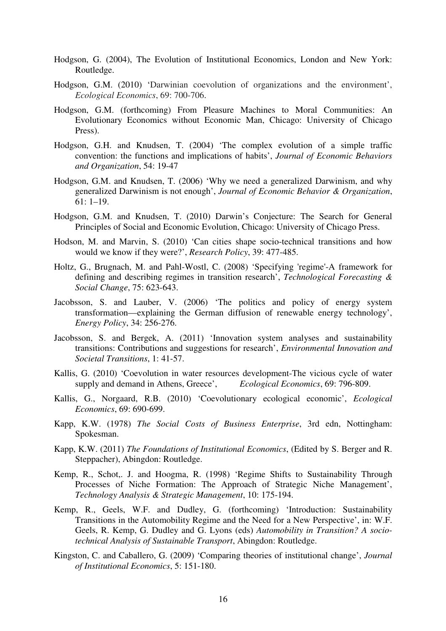- Hodgson, G. (2004), The Evolution of Institutional Economics, London and New York: Routledge.
- Hodgson, G.M. (2010) 'Darwinian coevolution of organizations and the environment', *Ecological Economics*, 69: 700-706.
- Hodgson, G.M. (forthcoming) From Pleasure Machines to Moral Communities: An Evolutionary Economics without Economic Man, Chicago: University of Chicago Press).
- Hodgson, G.H. and Knudsen, T. (2004) 'The complex evolution of a simple traffic convention: the functions and implications of habits', *Journal of Economic Behaviors and Organization*, 54: 19-47
- Hodgson, G.M. and Knudsen, T. (2006) 'Why we need a generalized Darwinism, and why generalized Darwinism is not enough', *Journal of Economic Behavior & Organization*, 61: 1–19.
- Hodgson, G.M. and Knudsen, T. (2010) Darwin's Conjecture: The Search for General Principles of Social and Economic Evolution, Chicago: University of Chicago Press.
- Hodson, M. and Marvin, S. (2010) 'Can cities shape socio-technical transitions and how would we know if they were?', *Research Policy*, 39: 477-485.
- Holtz, G., Brugnach, M. and Pahl-Wostl, C. (2008) 'Specifying 'regime'-A framework for defining and describing regimes in transition research', *Technological Forecasting & Social Change*, 75: 623-643.
- Jacobsson, S. and Lauber, V. (2006) 'The politics and policy of energy system transformation—explaining the German diffusion of renewable energy technology', *Energy Policy*, 34: 256-276.
- Jacobsson, S. and Bergek, A. (2011) 'Innovation system analyses and sustainability transitions: Contributions and suggestions for research', *Environmental Innovation and Societal Transitions*, 1: 41-57.
- Kallis, G. (2010) 'Coevolution in water resources development-The vicious cycle of water supply and demand in Athens, Greece', *Ecological Economics*, 69: 796-809.
- Kallis, G., Norgaard, R.B. (2010) 'Coevolutionary ecological economic', *Ecological Economics*, 69: 690-699.
- Kapp, K.W. (1978) *The Social Costs of Business Enterprise*, 3rd edn, Nottingham: Spokesman.
- Kapp, K.W. (2011) *The Foundations of Institutional Economics*, (Edited by S. Berger and R. Steppacher), Abingdon: Routledge.
- Kemp, R., Schot,. J. and Hoogma, R. (1998) 'Regime Shifts to Sustainability Through Processes of Niche Formation: The Approach of Strategic Niche Management', *Technology Analysis & Strategic Management*, 10: 175-194.
- Kemp, R., Geels, W.F. and Dudley, G. (forthcoming) 'Introduction: Sustainability Transitions in the Automobility Regime and the Need for a New Perspective', in: W.F. Geels, R. Kemp, G. Dudley and G. Lyons (eds) *Automobility in Transition? A sociotechnical Analysis of Sustainable Transport*, Abingdon: Routledge.
- Kingston, C. and Caballero, G. (2009) 'Comparing theories of institutional change', *Journal of Institutional Economics*, 5: 151-180.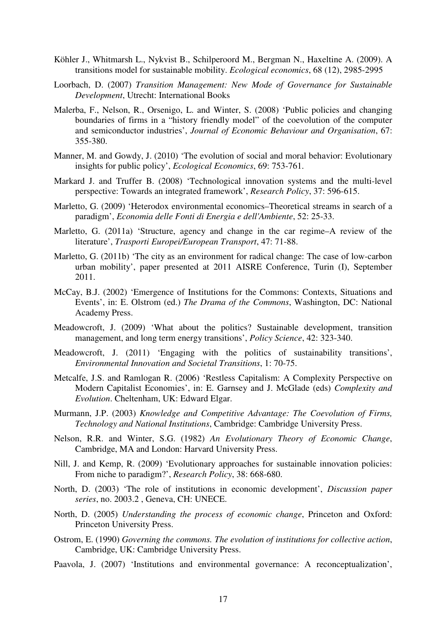- Köhler J., Whitmarsh L., Nykvist B., Schilperoord M., Bergman N., Haxeltine A. (2009). A transitions model for sustainable mobility. *Ecological economics*, 68 (12), 2985-2995
- Loorbach, D. (2007) *Transition Management: New Mode of Governance for Sustainable Development*, Utrecht: International Books
- Malerba, F., Nelson, R., Orsenigo, L. and Winter, S. (2008) 'Public policies and changing boundaries of firms in a "history friendly model" of the coevolution of the computer and semiconductor industries', *Journal of Economic Behaviour and Organisation*, 67: 355-380.
- Manner, M. and Gowdy, J. (2010) 'The evolution of social and moral behavior: Evolutionary insights for public policy', *Ecological Economics*, 69: 753-761.
- Markard J. and Truffer B. (2008) 'Technological innovation systems and the multi-level perspective: Towards an integrated framework', *Research Policy*, 37: 596-615.
- Marletto, G. (2009) 'Heterodox environmental economics–Theoretical streams in search of a paradigm', *Economia delle Fonti di Energia e dell'Ambiente*, 52: 25-33.
- Marletto, G. (2011a) 'Structure, agency and change in the car regime–A review of the literature', *Trasporti Europei/European Transport*, 47: 71-88.
- Marletto, G. (2011b) 'The city as an environment for radical change: The case of low-carbon urban mobility', paper presented at 2011 AISRE Conference, Turin (I), September 2011.
- McCay, B.J. (2002) 'Emergence of Institutions for the Commons: Contexts, Situations and Events', in: E. Olstrom (ed.) *The Drama of the Commons*, Washington, DC: National Academy Press.
- Meadowcroft, J. (2009) 'What about the politics? Sustainable development, transition management, and long term energy transitions', *Policy Science*, 42: 323-340.
- Meadowcroft, J. (2011) 'Engaging with the politics of sustainability transitions', *Environmental Innovation and Societal Transitions*, 1: 70-75.
- Metcalfe, J.S. and Ramlogan R. (2006) 'Restless Capitalism: A Complexity Perspective on Modern Capitalist Economies', in: E. Garnsey and J. McGlade (eds) *Complexity and Evolution*. Cheltenham, UK: Edward Elgar.
- Murmann, J.P. (2003) *Knowledge and Competitive Advantage: The Coevolution of Firms, Technology and National Institutions*, Cambridge: Cambridge University Press.
- Nelson, R.R. and Winter, S.G. (1982) *An Evolutionary Theory of Economic Change*, Cambridge, MA and London: Harvard University Press.
- Nill, J. and Kemp, R. (2009) 'Evolutionary approaches for sustainable innovation policies: From niche to paradigm?', *Research Policy*, 38: 668-680.
- North, D. (2003) 'The role of institutions in economic development', *Discussion paper series*, no. 2003.2 , Geneva, CH: UNECE.
- North, D. (2005) *Understanding the process of economic change*, Princeton and Oxford: Princeton University Press.
- Ostrom, E. (1990) *Governing the commons. The evolution of institutions for collective action*, Cambridge, UK: Cambridge University Press.
- Paavola, J. (2007) 'Institutions and environmental governance: A reconceptualization',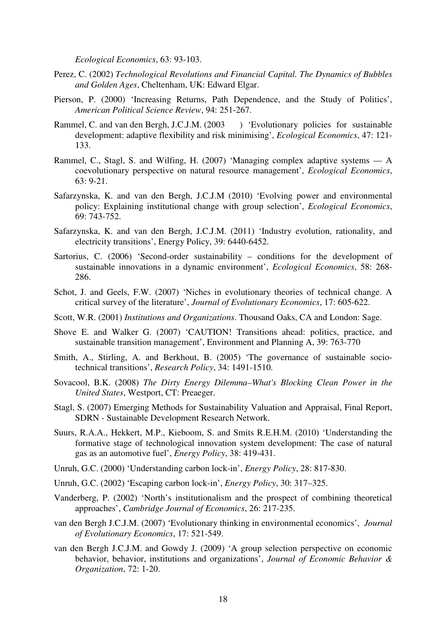*Ecological Economics*, 63: 93-103.

- Perez, C. (2002) *Technological Revolutions and Financial Capital. The Dynamics of Bubbles and Golden Ages*, Cheltenham, UK: Edward Elgar.
- Pierson, P. (2000) 'Increasing Returns, Path Dependence, and the Study of Politics', *American Political Science Review*, 94: 251-267.
- Rammel, C. and van den Bergh, J.C.J.M. (2003 ) 'Evolutionary policies for sustainable development: adaptive flexibility and risk minimising', *Ecological Economics*, 47: 121- 133.
- Rammel, C., Stagl, S. and Wilfing, H. (2007) 'Managing complex adaptive systems A coevolutionary perspective on natural resource management', *Ecological Economics*, 63: 9-21.
- Safarzynska, K. and van den Bergh, J.C.J.M (2010) 'Evolving power and environmental policy: Explaining institutional change with group selection', *Ecological Economics*, 69: 743-752.
- Safarzynska, K. and van den Bergh, J.C.J.M. (2011) 'Industry evolution, rationality, and electricity transitions', Energy Policy, 39: 6440-6452.
- Sartorius, C. (2006) 'Second-order sustainability conditions for the development of sustainable innovations in a dynamic environment', *Ecological Economics*, 58: 268- 286.
- Schot, J. and Geels, F.W. (2007) 'Niches in evolutionary theories of technical change. A critical survey of the literature', *Journal of Evolutionary Economics*, 17: 605-622.
- Scott, W.R. (2001) *Institutions and Organizations*. Thousand Oaks, CA and London: Sage.
- Shove E. and Walker G. (2007) 'CAUTION! Transitions ahead: politics, practice, and sustainable transition management', Environment and Planning A, 39: 763-770
- Smith, A., Stirling, A. and Berkhout, B. (2005) 'The governance of sustainable sociotechnical transitions', *Research Policy*, 34: 1491-1510.
- Sovacool, B.K. (2008) *The Dirty Energy Dilemma–What's Blocking Clean Power in the United States*, Westport, CT: Preaeger.
- Stagl, S. (2007) Emerging Methods for Sustainability Valuation and Appraisal, Final Report, SDRN - Sustainable Development Research Network.
- Suurs, R.A.A., Hekkert, M.P., Kieboom, S. and Smits R.E.H.M. (2010) 'Understanding the formative stage of technological innovation system development: The case of natural gas as an automotive fuel', *Energy Policy*, 38: 419-431.
- Unruh, G.C. (2000) 'Understanding carbon lock-in', *Energy Policy*, 28: 817-830.
- Unruh, G.C. (2002) 'Escaping carbon lock-in', *Energy Policy*, 30: 317–325.
- Vanderberg, P. (2002) 'North's institutionalism and the prospect of combining theoretical approaches', *Cambridge Journal of Economics*, 26: 217-235.
- van den Bergh J.C.J.M. (2007) 'Evolutionary thinking in environmental economics', *Journal of Evolutionary Economics*, 17: 521-549.
- van den Bergh J.C.J.M. and Gowdy J. (2009) 'A group selection perspective on economic behavior, behavior, institutions and organizations', *Journal of Economic Behavior & Organization*, 72: 1-20.